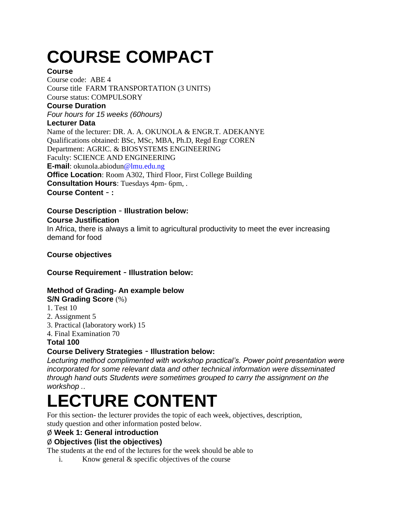# **COURSE COMPACT**

#### **Course**

Course code: ABE 4 Course title FARM TRANSPORTATION (3 UNITS) Course status: COMPULSORY **Course Duration** *Four hours for 15 weeks (60hours)* **Lecturer Data** Name of the lecturer: DR. A. A. OKUNOLA & ENGR.T. ADEKANYE Qualifications obtained: BSc, MSc, MBA, Ph.D, Regd Engr COREN Department: AGRIC. & BIOSYSTEMS ENGINEERING Faculty: SCIENCE AND ENGINEERING **E-mail**: okunola.abiodun@lmu.edu.ng **Office Location:** Room A302, Third Floor, First College Building **Consultation Hours**: Tuesdays 4pm- 6pm, . **Course Content** – **:**

**Course Description** – **Illustration below:**

#### **Course Justification**

In Africa, there is always a limit to agricultural productivity to meet the ever increasing demand for food

## **Course objectives**

**Course Requirement** – **Illustration below:**

## **Method of Grading- An example below**

**S/N Grading Score** (%)

- 1. Test 10
- 2. Assignment 5
- 3. Practical (laboratory work) 15
- 4. Final Examination 70

#### **Total 100**

## **Course Delivery Strategies** – **Illustration below:**

*Lecturing method complimented with workshop practical's. Power point presentation were incorporated for some relevant data and other technical information were disseminated through hand outs Students were sometimes grouped to carry the assignment on the workshop .*.

## **LECTURE CONTENT**

For this section- the lecturer provides the topic of each week, objectives, description, study question and other information posted below.

#### Ø **Week 1: General introduction**

## Ø **Objectives (list the objectives)**

The students at the end of the lectures for the week should be able to

i. Know general & specific objectives of the course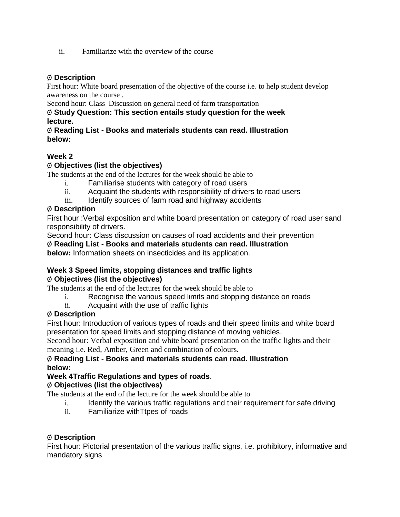ii. Familiarize with the overview of the course

#### Ø **Description**

First hour: White board presentation of the objective of the course i.e. to help student develop awareness on the course .

Second hour: Class Discussion on general need of farm transportation

#### Ø **Study Question: This section entails study question for the week lecture.**

#### Ø **Reading List - Books and materials students can read. Illustration below:**

## **Week 2**

#### Ø **Objectives (list the objectives)**

The students at the end of the lectures for the week should be able to

- i. Familiarise students with category of road users
- ii. Acquaint the students with responsibility of drivers to road users
- iii. Identify sources of farm road and highway accidents

#### Ø **Description**

First hour :Verbal exposition and white board presentation on category of road user sand responsibility of drivers.

Second hour: Class discussion on causes of road accidents and their prevention

#### Ø **Reading List - Books and materials students can read. Illustration**

**below:** Information sheets on insecticides and its application.

#### **Week 3 Speed limits, stopping distances and traffic lights** Ø **Objectives (list the objectives)**

The students at the end of the lectures for the week should be able to

- i. Recognise the various speed limits and stopping distance on roads
- ii. Acquaint with the use of traffic lights

#### Ø **Description**

First hour: Introduction of various types of roads and their speed limits and white board presentation for speed limits and stopping distance of moving vehicles.

Second hour: Verbal exposition and white board presentation on the traffic lights and their meaning i.e. Red, Amber, Green and combination of colours.

#### Ø **Reading List - Books and materials students can read. Illustration below:**

## **Week 4Traffic Regulations and types of roads**.

#### Ø **Objectives (list the objectives)**

The students at the end of the lecture for the week should be able to

- i. Identify the various traffic regulations and their requirement for safe driving
- ii. Familiarize withTtpes of roads

#### Ø **Description**

First hour: Pictorial presentation of the various traffic signs, i.e. prohibitory, informative and mandatory signs